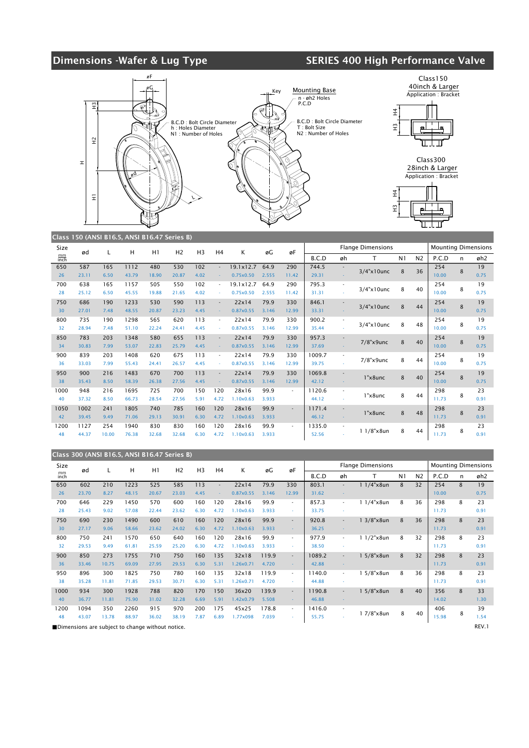## Dimensions -Wafer & Lug Type SERIES 400 High Performance Valve



|                   | $\frac{1}{2}$ |       |       |       |                |                |                |                  |       |        |        |                          |                          |                |                |                            |   |                 |
|-------------------|---------------|-------|-------|-------|----------------|----------------|----------------|------------------|-------|--------|--------|--------------------------|--------------------------|----------------|----------------|----------------------------|---|-----------------|
| Size              | ød            |       | Н     | H1    | H <sub>2</sub> | H <sub>3</sub> | H <sub>4</sub> | K                | øG    | øF     |        |                          | <b>Flange Dimensions</b> |                |                | <b>Mounting Dimensions</b> |   |                 |
| $\frac{mm}{inch}$ |               |       |       |       |                |                |                |                  |       |        | B.C.D  | øh                       | т                        | N <sub>1</sub> | N <sub>2</sub> | P.C.D                      | n | øh <sub>2</sub> |
| 650               | 587           | 165   | 1112  | 480   | 530            | 102            | $\sim$         | 19.1×12.7        | 64.9  | 290    | 744.5  |                          | $3/4$ "x10unc            | 8              | 36             | 254                        | 8 | 19              |
| 26                | 23.11         | 6.50  | 43.79 | 18.90 | 20.87          | 4.02           |                | 0.75x0.50        | 2.555 | 11.42  | 29.31  |                          |                          |                |                | 10.00                      |   | 0.75            |
| 700               | 638           | 165   | 1157  | 505   | 550            | 102            |                | 19.1x12.7        | 64.9  | 290    | 795.3  | $\sim$                   | $3/4$ "x $10$ unc        | 8              | 40             | 254                        | 8 | 19              |
| 28                | 25.12         | 6.50  | 45.55 | 19.88 | 21.65          | 4.02           |                | 0.75x0.50        | 2.555 | 11.42  | 31.31  |                          |                          |                |                | 10.00                      |   | 0.75            |
| 750               | 686           | 190   | 1233  | 530   | 590            | 113            | $\blacksquare$ | 22x14            | 79.9  | 330    | 846.1  | $\sim$                   | $3/4$ "x10unc            | 8              | 44             | 254                        | 8 | 19              |
| 30                | 27.01         | 7.48  | 48.55 | 20.87 | 23.23          | 4.45           |                | 0.87x0.55        | 3.146 | 12.99  | 33.31  |                          |                          |                |                | 10.00                      |   | 0.75            |
| 800               | 735           | 190   | 1298  | 565   | 620            | 113            | ٠              | 22x14            | 79.9  | 330    | 900.2  | $\overline{\phantom{a}}$ | $3/4$ "x10unc            | 8              | 48             | 254                        | 8 | 19              |
| 32                | 28.94         | 7.48  | 51.10 | 22.24 | 24.41          | 4.45           |                | 0.87x0.55        | 3.146 | 12.99  | 35.44  |                          |                          |                |                | 10.00                      |   | 0.75            |
| 850               | 783           | 203   | 1348  | 580   | 655            | 113            |                | 22x14            | 79.9  | 330    | 957.3  |                          | 7/8"x9unc                | 8              | 40             | 254                        | 8 | 19              |
| 34                | 30.83         | 7.99  | 53.07 | 22.83 | 25.79          | 4.45           |                | 0.87x0.55        | 3.146 | 12.99  | 37.69  |                          |                          |                |                | 10.00                      |   | 0.75            |
| 900               | 839           | 203   | 1408  | 620   | 675            | 113            | ٠              | 22x14            | 79.9  | 330    | 1009.7 | ÷.                       | $7/8"$ x $9$ unc         | 8              | 44             | 254                        | 8 | 19              |
| 36                | 33.03         | 7.99  | 55.43 | 24.41 | 26.57          | 4.45           |                | 0.87x0.55        | 3.146 | 12.99  | 39.75  |                          |                          |                |                | 10.00                      |   | 0.75            |
| 950               | 900           | 216   | 1483  | 670   | 700            | 113            | $\blacksquare$ | 22x14            | 79.9  | 330    | 1069.8 |                          | $1"x8$ unc               | 8              | 40             | 254                        |   | 19              |
| 38                | 35.43         | 8.50  | 58.39 | 26.38 | 27.56          | 4.45           |                | 0.87x0.55        | 3.146 | 12.99  | 42.12  |                          |                          |                |                | 10.00                      | 8 | 0.75            |
| 1000              | 948           | 216   | 1695  | 725   | 700            | 150            | 120            | 28x16            | 99.9  | $\sim$ | 1120.6 | ٠                        | 1"x8unc                  | 8              | 44             | 298                        | 8 | 23              |
| 40                | 37.32         | 8.50  | 66.73 | 28.54 | 27.56          | 5.91           | 4.72           | 1.10x0.63        | 3.933 |        | 44.12  |                          |                          |                |                | 11.73                      |   | 0.91            |
| 1050              | 1002          | 241   | 1805  | 740   | 785            | 160            | 120            | 28x16            | 99.9  | $\sim$ | 1171.4 |                          | $1"x8$ unc               | 8              | 48             | 298                        | 8 | 23              |
| 42                | 39.45         | 9.49  | 71.06 | 29.13 | 30.91          | 6.30           | 4.72           | $1.10\times0.63$ | 3.933 |        | 46.12  |                          |                          |                |                | 11.73                      |   | 0.91            |
| 1200              | 1127          | 254   | 1940  | 830   | 830            | 160            | 120            | 28x16            | 99.9  | $\sim$ | 1335.0 | ٠                        | 11/8"x8un                | 8              | 44             | 298                        | 8 | 23              |
| 48                | 44.37         | 10.00 | 76.38 | 32.68 | 32.68          | 6.30           | 4.72           | $1.10\times0.63$ | 3.933 |        | 52.56  |                          |                          |                |                | 11.73                      |   | 0.91            |
|                   |               |       |       |       |                |                |                |                  |       |        |        |                          |                          |                |                |                            |   |                 |

| Class 300 (ANSI B16.5, ANSI B16.47 Series B) |       |       |                                                   |       |                |                |                          |           |       |        |                                                        |                          |                       |                |                |       |              |       |  |
|----------------------------------------------|-------|-------|---------------------------------------------------|-------|----------------|----------------|--------------------------|-----------|-------|--------|--------------------------------------------------------|--------------------------|-----------------------|----------------|----------------|-------|--------------|-------|--|
| Size                                         | ød    |       | н                                                 | H1    | H <sub>2</sub> | H <sub>3</sub> | H <sub>4</sub>           | К         | øG    | øF     | <b>Flange Dimensions</b><br><b>Mounting Dimensions</b> |                          |                       |                |                |       |              |       |  |
| mm<br>inch                                   |       |       |                                                   |       |                |                |                          |           |       |        | B.C.D                                                  | øh                       | T.                    | N <sub>1</sub> | N <sub>2</sub> | P.C.D | $\mathsf{n}$ | øh2   |  |
| 650                                          | 602   | 210   | 1223                                              | 525   | 585            | 113            | $\overline{\phantom{a}}$ | 22x14     | 79.9  | 330    | 803.1                                                  | $\overline{\phantom{a}}$ | $11/4$ " $\times$ 8un | 8              | 32             | 254   | 8            | 19    |  |
| 26                                           | 23.70 | 8.27  | 48.15                                             | 20.67 | 23.03          | 4.45           |                          | 0.87×0.55 | 3.146 | 12.99  | 31.62                                                  |                          |                       |                |                | 10.00 |              | 0.75  |  |
| 700                                          | 646   | 229   | 1450                                              | 570   | 600            | 160            | 120                      | 28x16     | 99.9  | ٠.     | 857.3                                                  | $\sim$                   | $11/4$ " $\times$ 8un | 8              | 36             | 298   | 8            | 23    |  |
| 28                                           | 25.43 | 9.02  | 57.08                                             | 22.44 | 23.62          | 6.30           | 4.72                     | 1.10x0.63 | 3.933 | $\sim$ | 33.75                                                  |                          |                       |                |                | 11.73 |              | 0.91  |  |
| 750                                          | 690   | 230   | 1490                                              | 600   | 610            | 160            | 120                      | 28x16     | 99.9  | $\sim$ | 920.8                                                  | ٠                        | $13/8" \times 8$ un   | 8              | 36             | 298   | 8            | 23    |  |
| 30                                           | 27.17 | 9.06  | 58.66                                             | 23.62 | 24.02          | 6.30           | 4.72                     | 1.10x0.63 | 3.933 |        | 36.25                                                  |                          |                       |                |                | 11.73 |              | 0.91  |  |
| 800                                          | 750   | 241   | 1570                                              | 650   | 640            | 160            | 120                      | 28x16     | 99.9  | $\sim$ | 977.9                                                  | ٠                        | 11/2"x8un             | 8              | 32             | 298   | 8            | 23    |  |
| 32                                           | 29.53 | 9.49  | 61.81                                             | 25.59 | 25.20          | 6.30           | 4.72                     | 1.10x0.63 | 3.933 | ×.     | 38.50                                                  |                          |                       |                |                | 11.73 |              | 0.91  |  |
| 900                                          | 850   | 273   | 1755                                              | 710   | 750            | 160            | 135                      | 32x18     | 119.9 | $\sim$ | 1089.2                                                 | ٠                        | 15/8"x8un             | 8              | 32             | 298   | 8            | 23    |  |
| 36                                           | 33.46 | 10.75 | 69.09                                             | 27.95 | 29.53          | 6.30           | 5.31                     | 1.26×0.71 | 4.720 | $\sim$ | 42.88                                                  |                          |                       |                |                | 11.73 |              | 0.91  |  |
| 950                                          | 896   | 300   | 1825                                              | 750   | 780            | 160            | 135                      | 32x18     | 119.9 | $\sim$ | 1140.0                                                 | $\sim$                   | $5/8" \times 8$ un    | 8              | 36             | 298   | 8            | 23    |  |
| 38                                           | 35.28 | 11.81 | 71.85                                             | 29.53 | 30.71          | 6.30           | 5.31                     | 1.26x0.71 | 4.720 | ×.     | 44.88                                                  |                          |                       |                |                | 11.73 |              | 0.91  |  |
| 1000                                         | 934   | 300   | 1928                                              | 788   | 820            | 170            | 150                      | 36x20     | 139.9 | $\sim$ | 1190.8                                                 | ٠                        | $15/8$ " $\times$ 8un | 8              | 40             | 356   | 8            | 33    |  |
| 40                                           | 36.77 | 11.81 | 75.90                                             | 31.02 | 32.28          | 6.69           | 5.91                     | 1.42x0.79 | 5.508 |        | 46.88                                                  |                          |                       |                |                | 14.02 |              | 1.30  |  |
| 1200                                         | 1094  | 350   | 2260                                              | 915   | 970            | 200            | 175                      | 45x25     | 178.8 | $\sim$ | 1416.0                                                 | $\sim$                   |                       |                |                | 406   |              | 39    |  |
| 48                                           | 43.07 | 13.78 | 88.97                                             | 36.02 | 38.19          | 7.87           | 6.89                     | 1.77x098  | 7.039 | $\sim$ | 55.75                                                  |                          | 1 7/8"x8un            | 8              | 40             | 15.98 | 8            | 1.54  |  |
|                                              |       |       | ■Dimensions are subject to change without notice. |       |                |                |                          |           |       |        |                                                        |                          |                       |                |                |       |              | REV.1 |  |